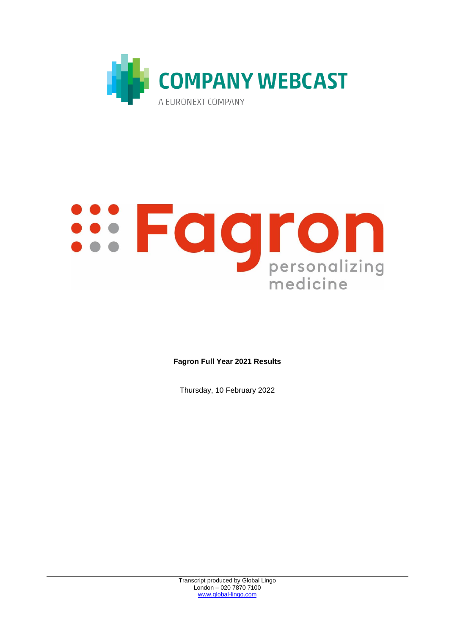

# **SOUTOD**<br> **SOUTOD**<br> **SOUTOD**<br> **Personalizing** medicine

**Fagron Full Year 2021 Results** 

Thursday, 10 February 2022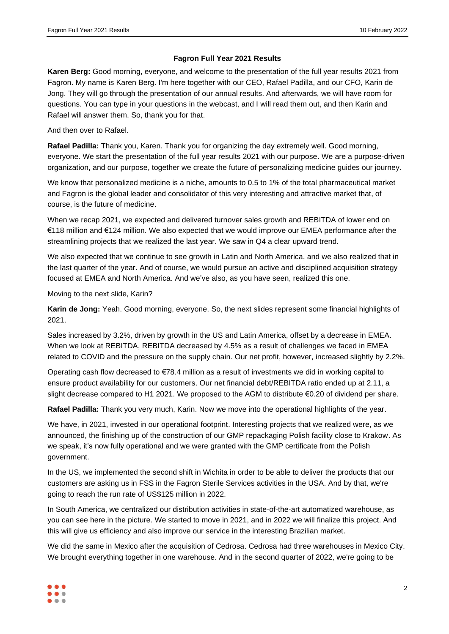# **Fagron Full Year 2021 Results**

**Karen Berg:** Good morning, everyone, and welcome to the presentation of the full year results 2021 from Fagron. My name is Karen Berg. I'm here together with our CEO, Rafael Padilla, and our CFO, Karin de Jong. They will go through the presentation of our annual results. And afterwards, we will have room for questions. You can type in your questions in the webcast, and I will read them out, and then Karin and Rafael will answer them. So, thank you for that.

And then over to Rafael.

**Rafael Padilla:** Thank you, Karen. Thank you for organizing the day extremely well. Good morning, everyone. We start the presentation of the full year results 2021 with our purpose. We are a purpose-driven organization, and our purpose, together we create the future of personalizing medicine guides our journey.

We know that personalized medicine is a niche, amounts to 0.5 to 1% of the total pharmaceutical market and Fagron is the global leader and consolidator of this very interesting and attractive market that, of course, is the future of medicine.

When we recap 2021, we expected and delivered turnover sales growth and REBITDA of lower end on €118 million and €124 million. We also expected that we would improve our EMEA performance after the streamlining projects that we realized the last year. We saw in Q4 a clear upward trend.

We also expected that we continue to see growth in Latin and North America, and we also realized that in the last quarter of the year. And of course, we would pursue an active and disciplined acquisition strategy focused at EMEA and North America. And we've also, as you have seen, realized this one.

Moving to the next slide, Karin?

**Karin de Jong:** Yeah. Good morning, everyone. So, the next slides represent some financial highlights of 2021.

Sales increased by 3.2%, driven by growth in the US and Latin America, offset by a decrease in EMEA. When we look at REBITDA, REBITDA decreased by 4.5% as a result of challenges we faced in EMEA related to COVID and the pressure on the supply chain. Our net profit, however, increased slightly by 2.2%.

Operating cash flow decreased to €78.4 million as a result of investments we did in working capital to ensure product availability for our customers. Our net financial debt/REBITDA ratio ended up at 2.11, a slight decrease compared to H1 2021. We proposed to the AGM to distribute €0.20 of dividend per share.

**Rafael Padilla:** Thank you very much, Karin. Now we move into the operational highlights of the year.

We have, in 2021, invested in our operational footprint. Interesting projects that we realized were, as we announced, the finishing up of the construction of our GMP repackaging Polish facility close to Krakow. As we speak, it's now fully operational and we were granted with the GMP certificate from the Polish government.

In the US, we implemented the second shift in Wichita in order to be able to deliver the products that our customers are asking us in FSS in the Fagron Sterile Services activities in the USA. And by that, we're going to reach the run rate of US\$125 million in 2022.

In South America, we centralized our distribution activities in state-of-the-art automatized warehouse, as you can see here in the picture. We started to move in 2021, and in 2022 we will finalize this project. And this will give us efficiency and also improve our service in the interesting Brazilian market.

We did the same in Mexico after the acquisition of Cedrosa. Cedrosa had three warehouses in Mexico City. We brought everything together in one warehouse. And in the second quarter of 2022, we're going to be

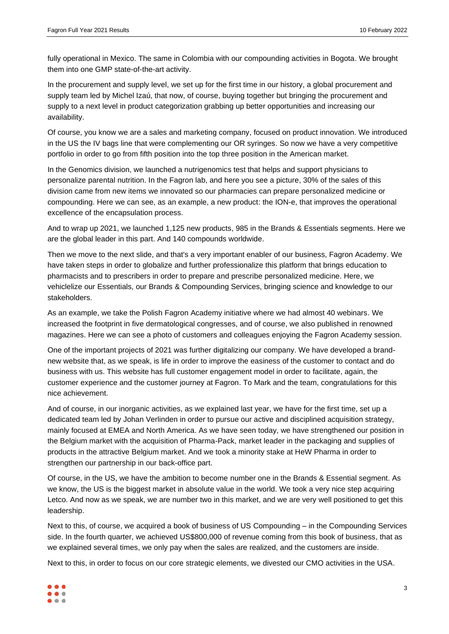fully operational in Mexico. The same in Colombia with our compounding activities in Bogota. We brought them into one GMP state-of-the-art activity.

In the procurement and supply level, we set up for the first time in our history, a global procurement and supply team led by Michel Izaú, that now, of course, buying together but bringing the procurement and supply to a next level in product categorization grabbing up better opportunities and increasing our availability.

Of course, you know we are a sales and marketing company, focused on product innovation. We introduced in the US the IV bags line that were complementing our OR syringes. So now we have a very competitive portfolio in order to go from fifth position into the top three position in the American market.

In the Genomics division, we launched a nutrigenomics test that helps and support physicians to personalize parental nutrition. In the Fagron lab, and here you see a picture, 30% of the sales of this division came from new items we innovated so our pharmacies can prepare personalized medicine or compounding. Here we can see, as an example, a new product: the ION-e, that improves the operational excellence of the encapsulation process.

And to wrap up 2021, we launched 1,125 new products, 985 in the Brands & Essentials segments. Here we are the global leader in this part. And 140 compounds worldwide.

Then we move to the next slide, and that's a very important enabler of our business, Fagron Academy. We have taken steps in order to globalize and further professionalize this platform that brings education to pharmacists and to prescribers in order to prepare and prescribe personalized medicine. Here, we vehiclelize our Essentials, our Brands & Compounding Services, bringing science and knowledge to our stakeholders.

As an example, we take the Polish Fagron Academy initiative where we had almost 40 webinars. We increased the footprint in five dermatological congresses, and of course, we also published in renowned magazines. Here we can see a photo of customers and colleagues enjoying the Fagron Academy session.

One of the important projects of 2021 was further digitalizing our company. We have developed a brandnew website that, as we speak, is life in order to improve the easiness of the customer to contact and do business with us. This website has full customer engagement model in order to facilitate, again, the customer experience and the customer journey at Fagron. To Mark and the team, congratulations for this nice achievement.

And of course, in our inorganic activities, as we explained last year, we have for the first time, set up a dedicated team led by Johan Verlinden in order to pursue our active and disciplined acquisition strategy, mainly focused at EMEA and North America. As we have seen today, we have strengthened our position in the Belgium market with the acquisition of Pharma-Pack, market leader in the packaging and supplies of products in the attractive Belgium market. And we took a minority stake at HeW Pharma in order to strengthen our partnership in our back-office part.

Of course, in the US, we have the ambition to become number one in the Brands & Essential segment. As we know, the US is the biggest market in absolute value in the world. We took a very nice step acquiring Letco. And now as we speak, we are number two in this market, and we are very well positioned to get this leadership.

Next to this, of course, we acquired a book of business of US Compounding – in the Compounding Services side. In the fourth quarter, we achieved US\$800,000 of revenue coming from this book of business, that as we explained several times, we only pay when the sales are realized, and the customers are inside.

Next to this, in order to focus on our core strategic elements, we divested our CMO activities in the USA.

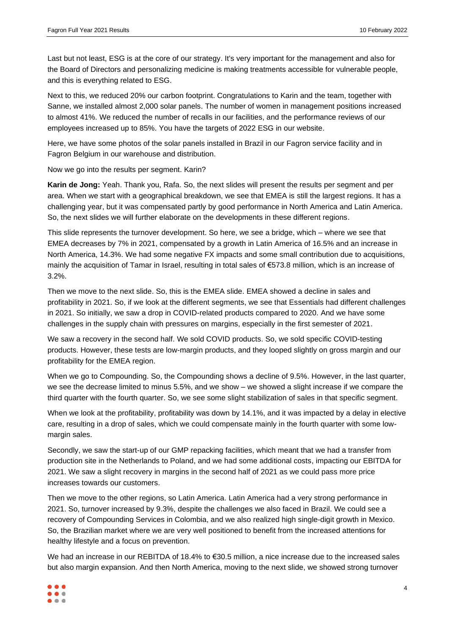Last but not least, ESG is at the core of our strategy. It's very important for the management and also for the Board of Directors and personalizing medicine is making treatments accessible for vulnerable people, and this is everything related to ESG.

Next to this, we reduced 20% our carbon footprint. Congratulations to Karin and the team, together with Sanne, we installed almost 2,000 solar panels. The number of women in management positions increased to almost 41%. We reduced the number of recalls in our facilities, and the performance reviews of our employees increased up to 85%. You have the targets of 2022 ESG in our website.

Here, we have some photos of the solar panels installed in Brazil in our Fagron service facility and in Fagron Belgium in our warehouse and distribution.

Now we go into the results per segment. Karin?

**Karin de Jong:** Yeah. Thank you, Rafa. So, the next slides will present the results per segment and per area. When we start with a geographical breakdown, we see that EMEA is still the largest regions. It has a challenging year, but it was compensated partly by good performance in North America and Latin America. So, the next slides we will further elaborate on the developments in these different regions.

This slide represents the turnover development. So here, we see a bridge, which – where we see that EMEA decreases by 7% in 2021, compensated by a growth in Latin America of 16.5% and an increase in North America, 14.3%. We had some negative FX impacts and some small contribution due to acquisitions, mainly the acquisition of Tamar in Israel, resulting in total sales of €573.8 million, which is an increase of 3.2%.

Then we move to the next slide. So, this is the EMEA slide. EMEA showed a decline in sales and profitability in 2021. So, if we look at the different segments, we see that Essentials had different challenges in 2021. So initially, we saw a drop in COVID-related products compared to 2020. And we have some challenges in the supply chain with pressures on margins, especially in the first semester of 2021.

We saw a recovery in the second half. We sold COVID products. So, we sold specific COVID-testing products. However, these tests are low-margin products, and they looped slightly on gross margin and our profitability for the EMEA region.

When we go to Compounding. So, the Compounding shows a decline of 9.5%. However, in the last quarter, we see the decrease limited to minus 5.5%, and we show – we showed a slight increase if we compare the third quarter with the fourth quarter. So, we see some slight stabilization of sales in that specific segment.

When we look at the profitability, profitability was down by 14.1%, and it was impacted by a delay in elective care, resulting in a drop of sales, which we could compensate mainly in the fourth quarter with some lowmargin sales.

Secondly, we saw the start-up of our GMP repacking facilities, which meant that we had a transfer from production site in the Netherlands to Poland, and we had some additional costs, impacting our EBITDA for 2021. We saw a slight recovery in margins in the second half of 2021 as we could pass more price increases towards our customers.

Then we move to the other regions, so Latin America. Latin America had a very strong performance in 2021. So, turnover increased by 9.3%, despite the challenges we also faced in Brazil. We could see a recovery of Compounding Services in Colombia, and we also realized high single-digit growth in Mexico. So, the Brazilian market where we are very well positioned to benefit from the increased attentions for healthy lifestyle and a focus on prevention.

We had an increase in our REBITDA of 18.4% to €30.5 million, a nice increase due to the increased sales but also margin expansion. And then North America, moving to the next slide, we showed strong turnover

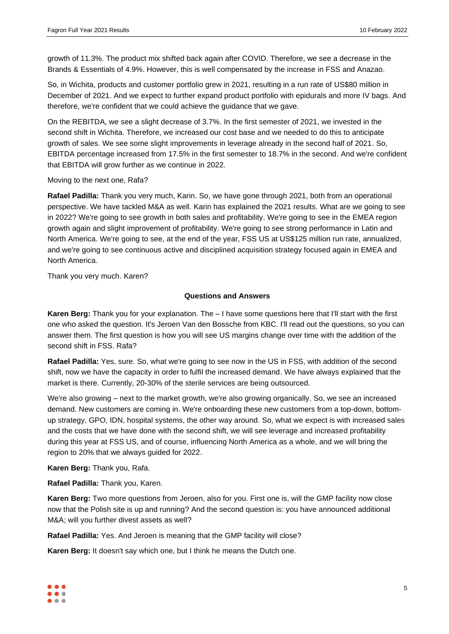growth of 11.3%. The product mix shifted back again after COVID. Therefore, we see a decrease in the Brands & Essentials of 4.9%. However, this is well compensated by the increase in FSS and Anazao.

So, in Wichita, products and customer portfolio grew in 2021, resulting in a run rate of US\$80 million in December of 2021. And we expect to further expand product portfolio with epidurals and more IV bags. And therefore, we're confident that we could achieve the guidance that we gave.

On the REBITDA, we see a slight decrease of 3.7%. In the first semester of 2021, we invested in the second shift in Wichita. Therefore, we increased our cost base and we needed to do this to anticipate growth of sales. We see some slight improvements in leverage already in the second half of 2021. So, EBITDA percentage increased from 17.5% in the first semester to 18.7% in the second. And we're confident that EBITDA will grow further as we continue in 2022.

Moving to the next one, Rafa?

**Rafael Padilla:** Thank you very much, Karin. So, we have gone through 2021, both from an operational perspective. We have tackled M&A as well. Karin has explained the 2021 results. What are we going to see in 2022? We're going to see growth in both sales and profitability. We're going to see in the EMEA region growth again and slight improvement of profitability. We're going to see strong performance in Latin and North America. We're going to see, at the end of the year, FSS US at US\$125 million run rate, annualized, and we're going to see continuous active and disciplined acquisition strategy focused again in EMEA and North America.

Thank you very much. Karen?

### **Questions and Answers**

**Karen Berg:** Thank you for your explanation. The – I have some questions here that I'll start with the first one who asked the question. It's Jeroen Van den Bossche from KBC. I'll read out the questions, so you can answer them. The first question is how you will see US margins change over time with the addition of the second shift in FSS. Rafa?

**Rafael Padilla:** Yes, sure. So, what we're going to see now in the US in FSS, with addition of the second shift, now we have the capacity in order to fulfil the increased demand. We have always explained that the market is there. Currently, 20-30% of the sterile services are being outsourced.

We're also growing – next to the market growth, we're also growing organically. So, we see an increased demand. New customers are coming in. We're onboarding these new customers from a top-down, bottomup strategy, GPO, IDN, hospital systems, the other way around. So, what we expect is with increased sales and the costs that we have done with the second shift, we will see leverage and increased profitability during this year at FSS US, and of course, influencing North America as a whole, and we will bring the region to 20% that we always guided for 2022.

**Karen Berg:** Thank you, Rafa.

**Rafael Padilla:** Thank you, Karen.

**Karen Berg:** Two more questions from Jeroen, also for you. First one is, will the GMP facility now close now that the Polish site is up and running? And the second question is: you have announced additional M&A; will you further divest assets as well?

**Rafael Padilla:** Yes. And Jeroen is meaning that the GMP facility will close?

**Karen Berg:** It doesn't say which one, but I think he means the Dutch one.

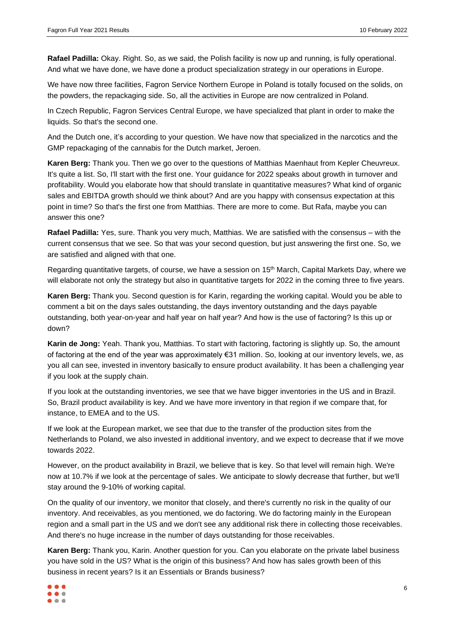**Rafael Padilla:** Okay. Right. So, as we said, the Polish facility is now up and running, is fully operational. And what we have done, we have done a product specialization strategy in our operations in Europe.

We have now three facilities, Fagron Service Northern Europe in Poland is totally focused on the solids, on the powders, the repackaging side. So, all the activities in Europe are now centralized in Poland.

In Czech Republic, Fagron Services Central Europe, we have specialized that plant in order to make the liquids. So that's the second one.

And the Dutch one, it's according to your question. We have now that specialized in the narcotics and the GMP repackaging of the cannabis for the Dutch market, Jeroen.

**Karen Berg:** Thank you. Then we go over to the questions of Matthias Maenhaut from Kepler Cheuvreux. It's quite a list. So, I'll start with the first one. Your guidance for 2022 speaks about growth in turnover and profitability. Would you elaborate how that should translate in quantitative measures? What kind of organic sales and EBITDA growth should we think about? And are you happy with consensus expectation at this point in time? So that's the first one from Matthias. There are more to come. But Rafa, maybe you can answer this one?

**Rafael Padilla:** Yes, sure. Thank you very much, Matthias. We are satisfied with the consensus – with the current consensus that we see. So that was your second question, but just answering the first one. So, we are satisfied and aligned with that one.

Regarding quantitative targets, of course, we have a session on 15<sup>th</sup> March, Capital Markets Day, where we will elaborate not only the strategy but also in quantitative targets for 2022 in the coming three to five years.

**Karen Berg:** Thank you. Second question is for Karin, regarding the working capital. Would you be able to comment a bit on the days sales outstanding, the days inventory outstanding and the days payable outstanding, both year-on-year and half year on half year? And how is the use of factoring? Is this up or down?

**Karin de Jong:** Yeah. Thank you, Matthias. To start with factoring, factoring is slightly up. So, the amount of factoring at the end of the year was approximately €31 million. So, looking at our inventory levels, we, as you all can see, invested in inventory basically to ensure product availability. It has been a challenging year if you look at the supply chain.

If you look at the outstanding inventories, we see that we have bigger inventories in the US and in Brazil. So, Brazil product availability is key. And we have more inventory in that region if we compare that, for instance, to EMEA and to the US.

If we look at the European market, we see that due to the transfer of the production sites from the Netherlands to Poland, we also invested in additional inventory, and we expect to decrease that if we move towards 2022.

However, on the product availability in Brazil, we believe that is key. So that level will remain high. We're now at 10.7% if we look at the percentage of sales. We anticipate to slowly decrease that further, but we'll stay around the 9-10% of working capital.

On the quality of our inventory, we monitor that closely, and there's currently no risk in the quality of our inventory. And receivables, as you mentioned, we do factoring. We do factoring mainly in the European region and a small part in the US and we don't see any additional risk there in collecting those receivables. And there's no huge increase in the number of days outstanding for those receivables.

**Karen Berg:** Thank you, Karin. Another question for you. Can you elaborate on the private label business you have sold in the US? What is the origin of this business? And how has sales growth been of this business in recent years? Is it an Essentials or Brands business?

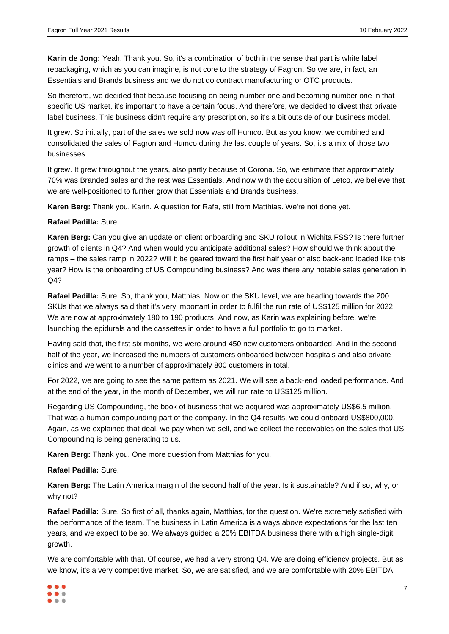**Karin de Jong:** Yeah. Thank you. So, it's a combination of both in the sense that part is white label repackaging, which as you can imagine, is not core to the strategy of Fagron. So we are, in fact, an Essentials and Brands business and we do not do contract manufacturing or OTC products.

So therefore, we decided that because focusing on being number one and becoming number one in that specific US market, it's important to have a certain focus. And therefore, we decided to divest that private label business. This business didn't require any prescription, so it's a bit outside of our business model.

It grew. So initially, part of the sales we sold now was off Humco. But as you know, we combined and consolidated the sales of Fagron and Humco during the last couple of years. So, it's a mix of those two businesses.

It grew. It grew throughout the years, also partly because of Corona. So, we estimate that approximately 70% was Branded sales and the rest was Essentials. And now with the acquisition of Letco, we believe that we are well-positioned to further grow that Essentials and Brands business.

**Karen Berg:** Thank you, Karin. A question for Rafa, still from Matthias. We're not done yet.

# **Rafael Padilla:** Sure.

**Karen Berg:** Can you give an update on client onboarding and SKU rollout in Wichita FSS? Is there further growth of clients in Q4? And when would you anticipate additional sales? How should we think about the ramps – the sales ramp in 2022? Will it be geared toward the first half year or also back-end loaded like this year? How is the onboarding of US Compounding business? And was there any notable sales generation in Q4?

**Rafael Padilla:** Sure. So, thank you, Matthias. Now on the SKU level, we are heading towards the 200 SKUs that we always said that it's very important in order to fulfil the run rate of US\$125 million for 2022. We are now at approximately 180 to 190 products. And now, as Karin was explaining before, we're launching the epidurals and the cassettes in order to have a full portfolio to go to market.

Having said that, the first six months, we were around 450 new customers onboarded. And in the second half of the year, we increased the numbers of customers onboarded between hospitals and also private clinics and we went to a number of approximately 800 customers in total.

For 2022, we are going to see the same pattern as 2021. We will see a back-end loaded performance. And at the end of the year, in the month of December, we will run rate to US\$125 million.

Regarding US Compounding, the book of business that we acquired was approximately US\$6.5 million. That was a human compounding part of the company. In the Q4 results, we could onboard US\$800,000. Again, as we explained that deal, we pay when we sell, and we collect the receivables on the sales that US Compounding is being generating to us.

**Karen Berg:** Thank you. One more question from Matthias for you.

# **Rafael Padilla:** Sure.

**Karen Berg:** The Latin America margin of the second half of the year. Is it sustainable? And if so, why, or why not?

**Rafael Padilla:** Sure. So first of all, thanks again, Matthias, for the question. We're extremely satisfied with the performance of the team. The business in Latin America is always above expectations for the last ten years, and we expect to be so. We always guided a 20% EBITDA business there with a high single-digit growth.

We are comfortable with that. Of course, we had a very strong Q4. We are doing efficiency projects. But as we know, it's a very competitive market. So, we are satisfied, and we are comfortable with 20% EBITDA

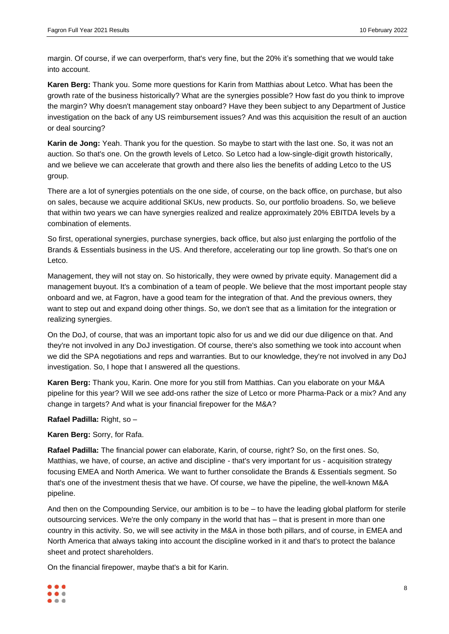margin. Of course, if we can overperform, that's very fine, but the 20% it's something that we would take into account.

**Karen Berg:** Thank you. Some more questions for Karin from Matthias about Letco. What has been the growth rate of the business historically? What are the synergies possible? How fast do you think to improve the margin? Why doesn't management stay onboard? Have they been subject to any Department of Justice investigation on the back of any US reimbursement issues? And was this acquisition the result of an auction or deal sourcing?

**Karin de Jong:** Yeah. Thank you for the question. So maybe to start with the last one. So, it was not an auction. So that's one. On the growth levels of Letco. So Letco had a low-single-digit growth historically, and we believe we can accelerate that growth and there also lies the benefits of adding Letco to the US group.

There are a lot of synergies potentials on the one side, of course, on the back office, on purchase, but also on sales, because we acquire additional SKUs, new products. So, our portfolio broadens. So, we believe that within two years we can have synergies realized and realize approximately 20% EBITDA levels by a combination of elements.

So first, operational synergies, purchase synergies, back office, but also just enlarging the portfolio of the Brands & Essentials business in the US. And therefore, accelerating our top line growth. So that's one on Letco.

Management, they will not stay on. So historically, they were owned by private equity. Management did a management buyout. It's a combination of a team of people. We believe that the most important people stay onboard and we, at Fagron, have a good team for the integration of that. And the previous owners, they want to step out and expand doing other things. So, we don't see that as a limitation for the integration or realizing synergies.

On the DoJ, of course, that was an important topic also for us and we did our due diligence on that. And they're not involved in any DoJ investigation. Of course, there's also something we took into account when we did the SPA negotiations and reps and warranties. But to our knowledge, they're not involved in any DoJ investigation. So, I hope that I answered all the questions.

**Karen Berg:** Thank you, Karin. One more for you still from Matthias. Can you elaborate on your M&A pipeline for this year? Will we see add-ons rather the size of Letco or more Pharma-Pack or a mix? And any change in targets? And what is your financial firepower for the M&A?

**Rafael Padilla:** Right, so –

**Karen Berg:** Sorry, for Rafa.

**Rafael Padilla:** The financial power can elaborate, Karin, of course, right? So, on the first ones. So, Matthias, we have, of course, an active and discipline - that's very important for us - acquisition strategy focusing EMEA and North America. We want to further consolidate the Brands & Essentials segment. So that's one of the investment thesis that we have. Of course, we have the pipeline, the well-known M&A pipeline.

And then on the Compounding Service, our ambition is to be – to have the leading global platform for sterile outsourcing services. We're the only company in the world that has – that is present in more than one country in this activity. So, we will see activity in the M&A in those both pillars, and of course, in EMEA and North America that always taking into account the discipline worked in it and that's to protect the balance sheet and protect shareholders.

On the financial firepower, maybe that's a bit for Karin.

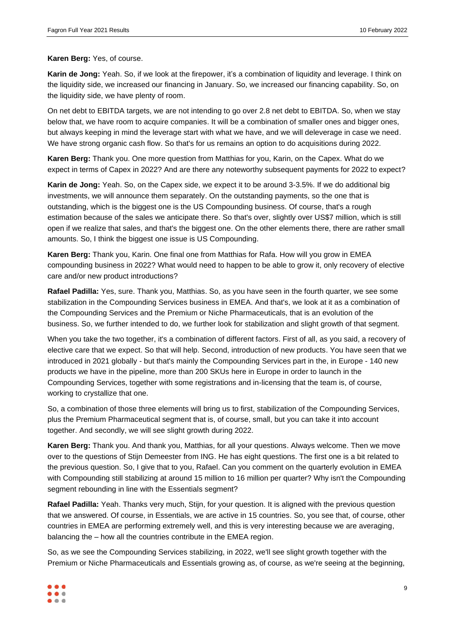### **Karen Berg:** Yes, of course.

**Karin de Jong:** Yeah. So, if we look at the firepower, it's a combination of liquidity and leverage. I think on the liquidity side, we increased our financing in January. So, we increased our financing capability. So, on the liquidity side, we have plenty of room.

On net debt to EBITDA targets, we are not intending to go over 2.8 net debt to EBITDA. So, when we stay below that, we have room to acquire companies. It will be a combination of smaller ones and bigger ones, but always keeping in mind the leverage start with what we have, and we will deleverage in case we need. We have strong organic cash flow. So that's for us remains an option to do acquisitions during 2022.

**Karen Berg:** Thank you. One more question from Matthias for you, Karin, on the Capex. What do we expect in terms of Capex in 2022? And are there any noteworthy subsequent payments for 2022 to expect?

**Karin de Jong:** Yeah. So, on the Capex side, we expect it to be around 3-3.5%. If we do additional big investments, we will announce them separately. On the outstanding payments, so the one that is outstanding, which is the biggest one is the US Compounding business. Of course, that's a rough estimation because of the sales we anticipate there. So that's over, slightly over US\$7 million, which is still open if we realize that sales, and that's the biggest one. On the other elements there, there are rather small amounts. So, I think the biggest one issue is US Compounding.

**Karen Berg:** Thank you, Karin. One final one from Matthias for Rafa. How will you grow in EMEA compounding business in 2022? What would need to happen to be able to grow it, only recovery of elective care and/or new product introductions?

**Rafael Padilla:** Yes, sure. Thank you, Matthias. So, as you have seen in the fourth quarter, we see some stabilization in the Compounding Services business in EMEA. And that's, we look at it as a combination of the Compounding Services and the Premium or Niche Pharmaceuticals, that is an evolution of the business. So, we further intended to do, we further look for stabilization and slight growth of that segment.

When you take the two together, it's a combination of different factors. First of all, as you said, a recovery of elective care that we expect. So that will help. Second, introduction of new products. You have seen that we introduced in 2021 globally - but that's mainly the Compounding Services part in the, in Europe - 140 new products we have in the pipeline, more than 200 SKUs here in Europe in order to launch in the Compounding Services, together with some registrations and in-licensing that the team is, of course, working to crystallize that one.

So, a combination of those three elements will bring us to first, stabilization of the Compounding Services, plus the Premium Pharmaceutical segment that is, of course, small, but you can take it into account together. And secondly, we will see slight growth during 2022.

**Karen Berg:** Thank you. And thank you, Matthias, for all your questions. Always welcome. Then we move over to the questions of Stijn Demeester from ING. He has eight questions. The first one is a bit related to the previous question. So, I give that to you, Rafael. Can you comment on the quarterly evolution in EMEA with Compounding still stabilizing at around 15 million to 16 million per quarter? Why isn't the Compounding segment rebounding in line with the Essentials segment?

**Rafael Padilla:** Yeah. Thanks very much, Stijn, for your question. It is aligned with the previous question that we answered. Of course, in Essentials, we are active in 15 countries. So, you see that, of course, other countries in EMEA are performing extremely well, and this is very interesting because we are averaging, balancing the – how all the countries contribute in the EMEA region.

So, as we see the Compounding Services stabilizing, in 2022, we'll see slight growth together with the Premium or Niche Pharmaceuticals and Essentials growing as, of course, as we're seeing at the beginning,

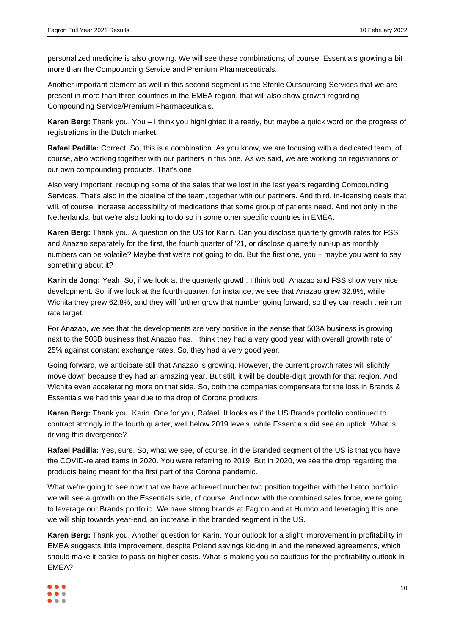personalized medicine is also growing. We will see these combinations, of course, Essentials growing a bit more than the Compounding Service and Premium Pharmaceuticals.

Another important element as well in this second segment is the Sterile Outsourcing Services that we are present in more than three countries in the EMEA region, that will also show growth regarding Compounding Service/Premium Pharmaceuticals.

**Karen Berg:** Thank you. You – I think you highlighted it already, but maybe a quick word on the progress of registrations in the Dutch market.

**Rafael Padilla:** Correct. So, this is a combination. As you know, we are focusing with a dedicated team, of course, also working together with our partners in this one. As we said, we are working on registrations of our own compounding products. That's one.

Also very important, recouping some of the sales that we lost in the last years regarding Compounding Services. That's also in the pipeline of the team, together with our partners. And third, in-licensing deals that will, of course, increase accessibility of medications that some group of patients need. And not only in the Netherlands, but we're also looking to do so in some other specific countries in EMEA.

**Karen Berg:** Thank you. A question on the US for Karin. Can you disclose quarterly growth rates for FSS and Anazao separately for the first, the fourth quarter of '21, or disclose quarterly run-up as monthly numbers can be volatile? Maybe that we're not going to do. But the first one, you – maybe you want to say something about it?

**Karin de Jong:** Yeah. So, if we look at the quarterly growth, I think both Anazao and FSS show very nice development. So, if we look at the fourth quarter, for instance, we see that Anazao grew 32.8%, while Wichita they grew 62.8%, and they will further grow that number going forward, so they can reach their run rate target.

For Anazao, we see that the developments are very positive in the sense that 503A business is growing, next to the 503B business that Anazao has. I think they had a very good year with overall growth rate of 25% against constant exchange rates. So, they had a very good year.

Going forward, we anticipate still that Anazao is growing. However, the current growth rates will slightly move down because they had an amazing year. But still, it will be double-digit growth for that region. And Wichita even accelerating more on that side. So, both the companies compensate for the loss in Brands & Essentials we had this year due to the drop of Corona products.

**Karen Berg:** Thank you, Karin. One for you, Rafael. It looks as if the US Brands portfolio continued to contract strongly in the fourth quarter, well below 2019 levels, while Essentials did see an uptick. What is driving this divergence?

**Rafael Padilla:** Yes, sure. So, what we see, of course, in the Branded segment of the US is that you have the COVID-related items in 2020. You were referring to 2019. But in 2020, we see the drop regarding the products being meant for the first part of the Corona pandemic.

What we're going to see now that we have achieved number two position together with the Letco portfolio, we will see a growth on the Essentials side, of course. And now with the combined sales force, we're going to leverage our Brands portfolio. We have strong brands at Fagron and at Humco and leveraging this one we will ship towards year-end, an increase in the branded segment in the US.

**Karen Berg:** Thank you. Another question for Karin. Your outlook for a slight improvement in profitability in EMEA suggests little improvement, despite Poland savings kicking in and the renewed agreements, which should make it easier to pass on higher costs. What is making you so cautious for the profitability outlook in EMEA?

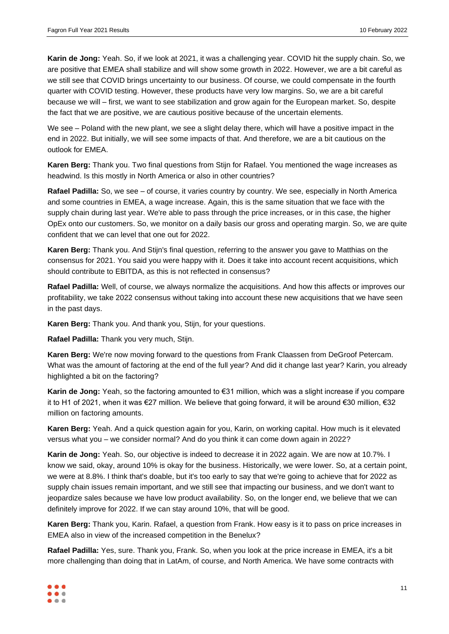**Karin de Jong:** Yeah. So, if we look at 2021, it was a challenging year. COVID hit the supply chain. So, we are positive that EMEA shall stabilize and will show some growth in 2022. However, we are a bit careful as we still see that COVID brings uncertainty to our business. Of course, we could compensate in the fourth quarter with COVID testing. However, these products have very low margins. So, we are a bit careful because we will – first, we want to see stabilization and grow again for the European market. So, despite the fact that we are positive, we are cautious positive because of the uncertain elements.

We see – Poland with the new plant, we see a slight delay there, which will have a positive impact in the end in 2022. But initially, we will see some impacts of that. And therefore, we are a bit cautious on the outlook for EMEA.

**Karen Berg:** Thank you. Two final questions from Stijn for Rafael. You mentioned the wage increases as headwind. Is this mostly in North America or also in other countries?

**Rafael Padilla:** So, we see – of course, it varies country by country. We see, especially in North America and some countries in EMEA, a wage increase. Again, this is the same situation that we face with the supply chain during last year. We're able to pass through the price increases, or in this case, the higher OpEx onto our customers. So, we monitor on a daily basis our gross and operating margin. So, we are quite confident that we can level that one out for 2022.

**Karen Berg:** Thank you. And Stijn's final question, referring to the answer you gave to Matthias on the consensus for 2021. You said you were happy with it. Does it take into account recent acquisitions, which should contribute to EBITDA, as this is not reflected in consensus?

**Rafael Padilla:** Well, of course, we always normalize the acquisitions. And how this affects or improves our profitability, we take 2022 consensus without taking into account these new acquisitions that we have seen in the past days.

**Karen Berg:** Thank you. And thank you, Stijn, for your questions.

**Rafael Padilla:** Thank you very much, Stijn.

**Karen Berg:** We're now moving forward to the questions from Frank Claassen from DeGroof Petercam. What was the amount of factoring at the end of the full year? And did it change last year? Karin, you already highlighted a bit on the factoring?

**Karin de Jong:** Yeah, so the factoring amounted to €31 million, which was a slight increase if you compare it to H1 of 2021, when it was €27 million. We believe that going forward, it will be around €30 million, €32 million on factoring amounts.

**Karen Berg:** Yeah. And a quick question again for you, Karin, on working capital. How much is it elevated versus what you – we consider normal? And do you think it can come down again in 2022?

**Karin de Jong:** Yeah. So, our objective is indeed to decrease it in 2022 again. We are now at 10.7%. I know we said, okay, around 10% is okay for the business. Historically, we were lower. So, at a certain point, we were at 8.8%. I think that's doable, but it's too early to say that we're going to achieve that for 2022 as supply chain issues remain important, and we still see that impacting our business, and we don't want to jeopardize sales because we have low product availability. So, on the longer end, we believe that we can definitely improve for 2022. If we can stay around 10%, that will be good.

**Karen Berg:** Thank you, Karin. Rafael, a question from Frank. How easy is it to pass on price increases in EMEA also in view of the increased competition in the Benelux?

**Rafael Padilla:** Yes, sure. Thank you, Frank. So, when you look at the price increase in EMEA, it's a bit more challenging than doing that in LatAm, of course, and North America. We have some contracts with

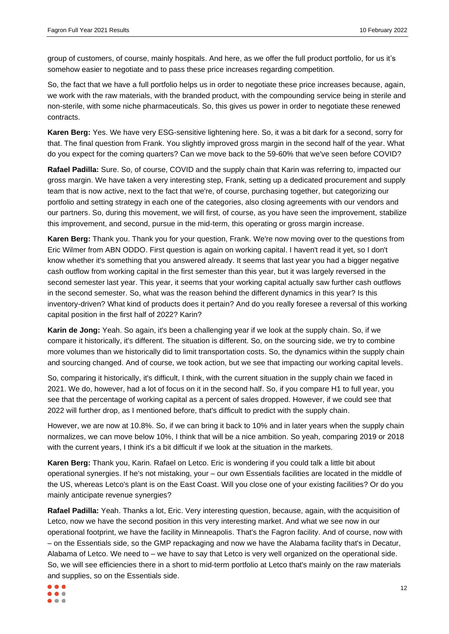group of customers, of course, mainly hospitals. And here, as we offer the full product portfolio, for us it's somehow easier to negotiate and to pass these price increases regarding competition.

So, the fact that we have a full portfolio helps us in order to negotiate these price increases because, again, we work with the raw materials, with the branded product, with the compounding service being in sterile and non-sterile, with some niche pharmaceuticals. So, this gives us power in order to negotiate these renewed contracts.

**Karen Berg:** Yes. We have very ESG-sensitive lightening here. So, it was a bit dark for a second, sorry for that. The final question from Frank. You slightly improved gross margin in the second half of the year. What do you expect for the coming quarters? Can we move back to the 59-60% that we've seen before COVID?

**Rafael Padilla:** Sure. So, of course, COVID and the supply chain that Karin was referring to, impacted our gross margin. We have taken a very interesting step, Frank, setting up a dedicated procurement and supply team that is now active, next to the fact that we're, of course, purchasing together, but categorizing our portfolio and setting strategy in each one of the categories, also closing agreements with our vendors and our partners. So, during this movement, we will first, of course, as you have seen the improvement, stabilize this improvement, and second, pursue in the mid-term, this operating or gross margin increase.

**Karen Berg:** Thank you. Thank you for your question, Frank. We're now moving over to the questions from Eric Wilmer from ABN ODDO. First question is again on working capital. I haven't read it yet, so I don't know whether it's something that you answered already. It seems that last year you had a bigger negative cash outflow from working capital in the first semester than this year, but it was largely reversed in the second semester last year. This year, it seems that your working capital actually saw further cash outflows in the second semester. So, what was the reason behind the different dynamics in this year? Is this inventory-driven? What kind of products does it pertain? And do you really foresee a reversal of this working capital position in the first half of 2022? Karin?

**Karin de Jong:** Yeah. So again, it's been a challenging year if we look at the supply chain. So, if we compare it historically, it's different. The situation is different. So, on the sourcing side, we try to combine more volumes than we historically did to limit transportation costs. So, the dynamics within the supply chain and sourcing changed. And of course, we took action, but we see that impacting our working capital levels.

So, comparing it historically, it's difficult, I think, with the current situation in the supply chain we faced in 2021. We do, however, had a lot of focus on it in the second half. So, if you compare H1 to full year, you see that the percentage of working capital as a percent of sales dropped. However, if we could see that 2022 will further drop, as I mentioned before, that's difficult to predict with the supply chain.

However, we are now at 10.8%. So, if we can bring it back to 10% and in later years when the supply chain normalizes, we can move below 10%, I think that will be a nice ambition. So yeah, comparing 2019 or 2018 with the current years, I think it's a bit difficult if we look at the situation in the markets.

**Karen Berg:** Thank you, Karin. Rafael on Letco. Eric is wondering if you could talk a little bit about operational synergies. If he's not mistaking, your – our own Essentials facilities are located in the middle of the US, whereas Letco's plant is on the East Coast. Will you close one of your existing facilities? Or do you mainly anticipate revenue synergies?

**Rafael Padilla:** Yeah. Thanks a lot, Eric. Very interesting question, because, again, with the acquisition of Letco, now we have the second position in this very interesting market. And what we see now in our operational footprint, we have the facility in Minneapolis. That's the Fagron facility. And of course, now with – on the Essentials side, so the GMP repackaging and now we have the Alabama facility that's in Decatur, Alabama of Letco. We need to – we have to say that Letco is very well organized on the operational side. So, we will see efficiencies there in a short to mid-term portfolio at Letco that's mainly on the raw materials and supplies, so on the Essentials side.

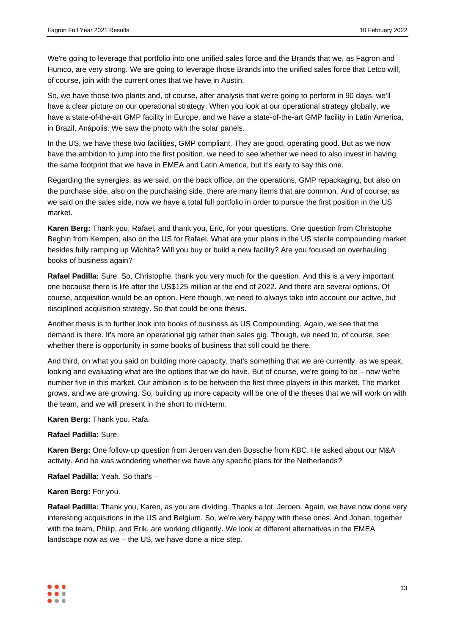We're going to leverage that portfolio into one unified sales force and the Brands that we, as Fagron and Humco, are very strong. We are going to leverage those Brands into the unified sales force that Letco will, of course, join with the current ones that we have in Austin.

So, we have those two plants and, of course, after analysis that we're going to perform in 90 days, we'll have a clear picture on our operational strategy. When you look at our operational strategy globally, we have a state-of-the-art GMP facility in Europe, and we have a state-of-the-art GMP facility in Latin America, in Brazil, Anápolis. We saw the photo with the solar panels.

In the US, we have these two facilities, GMP compliant. They are good, operating good. But as we now have the ambition to jump into the first position, we need to see whether we need to also invest in having the same footprint that we have in EMEA and Latin America, but it's early to say this one.

Regarding the synergies, as we said, on the back office, on the operations, GMP repackaging, but also on the purchase side, also on the purchasing side, there are many items that are common. And of course, as we said on the sales side, now we have a total full portfolio in order to pursue the first position in the US market.

**Karen Berg:** Thank you, Rafael, and thank you, Eric, for your questions. One question from Christophe Beghin from Kempen, also on the US for Rafael. What are your plans in the US sterile compounding market besides fully ramping up Wichita? Will you buy or build a new facility? Are you focused on overhauling books of business again?

**Rafael Padilla:** Sure. So, Christophe, thank you very much for the question. And this is a very important one because there is life after the US\$125 million at the end of 2022. And there are several options. Of course, acquisition would be an option. Here though, we need to always take into account our active, but disciplined acquisition strategy. So that could be one thesis.

Another thesis is to further look into books of business as US Compounding. Again, we see that the demand is there. It's more an operational gig rather than sales gig. Though, we need to, of course, see whether there is opportunity in some books of business that still could be there.

And third, on what you said on building more capacity, that's something that we are currently, as we speak, looking and evaluating what are the options that we do have. But of course, we're going to be – now we're number five in this market. Our ambition is to be between the first three players in this market. The market grows, and we are growing. So, building up more capacity will be one of the theses that we will work on with the team, and we will present in the short to mid-term.

**Karen Berg:** Thank you, Rafa.

# **Rafael Padilla:** Sure.

**Karen Berg:** One follow-up question from Jeroen van den Bossche from KBC. He asked about our M&A activity. And he was wondering whether we have any specific plans for the Netherlands?

**Rafael Padilla:** Yeah. So that's –

# **Karen Berg:** For you.

**Rafael Padilla:** Thank you, Karen, as you are dividing. Thanks a lot, Jeroen. Again, we have now done very interesting acquisitions in the US and Belgium. So, we're very happy with these ones. And Johan, together with the team, Philip, and Erik, are working diligently. We look at different alternatives in the EMEA landscape now as we – the US, we have done a nice step.